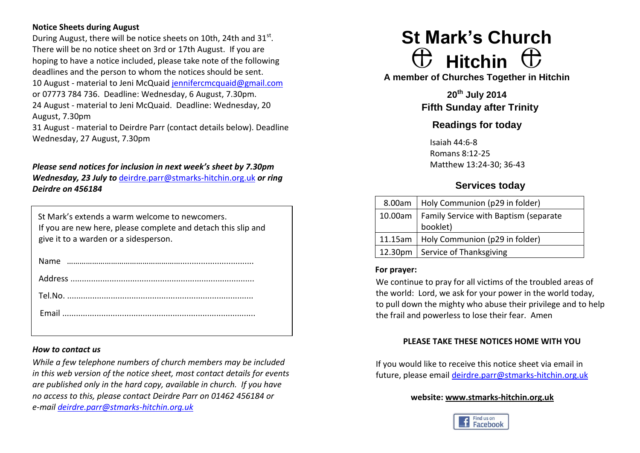# **Notice Sheets during August**

During August, there will be notice sheets on 10th, 24th and  $31^{st}$ . There will be no notice sheet on 3rd or 17th August. If you are hoping to have a notice included, please take note of the following deadlines and the person to whom the notices should be sent. 10 August - material to Jeni McQuaid [jennifercmcquaid@gmail.com](mailto:jennifercmcquaid@gmail.com) or 07773 784 736. Deadline: Wednesday, 6 August, 7.30pm. 24 August - material to Jeni McQuaid. Deadline: Wednesday, 20 August, 7.30pm

31 August - material to Deirdre Parr (contact details below). Deadline Wednesday, 27 August, 7.30pm

# *Please send notices for inclusion in next week's sheet by 7.30pm*

*Wednesday, 23 July to* [deirdre.parr@stmarks-hitchin.org.uk](mailto:deirdre.parr@stmarks-hitchin.org.uk) *or ring Deirdre on 456184*

| St Mark's extends a warm welcome to newcomers.                |
|---------------------------------------------------------------|
| If you are new here, please complete and detach this slip and |
| give it to a warden or a sidesperson.                         |

#### *How to contact us*

*While a few telephone numbers of church members may be included in this web version of the notice sheet, most contact details for events are published only in the hard copy, available in church. If you have no access to this, please contact Deirdre Parr on 01462 456184 or e-mail [deirdre.parr@stmarks-hitchin.org.uk](file:///C:/Users/Andrew/Documents/Church/Communications/Notice%20sheet%20proof%20read/2012/deirdre.parr@stmarks-hitchin.org.uk)*

# **St Mark's Church**  $\oplus$  Hitchin  $\oplus$

**A member of Churches Together in Hitchin**

**20th July 2014 Fifth Sunday after Trinity**

# **Readings for today**

 Isaiah 44:6-8 Romans 8:12-25 Matthew 13:24-30; 36-43

# **Services today**

| 8.00am   Holy Communion (p29 in folder)         |  |  |
|-------------------------------------------------|--|--|
| 10.00am   Family Service with Baptism (separate |  |  |
| booklet)                                        |  |  |
| 11.15am   Holy Communion (p29 in folder)        |  |  |
| 12.30pm   Service of Thanksgiving               |  |  |

#### **For prayer:**

We continue to pray for all victims of the troubled areas of the world: Lord, we ask for your power in the world today, to pull down the mighty who abuse their privilege and to help the frail and powerless to lose their fear. Amen

# **PLEASE TAKE THESE NOTICES HOME WITH YOU**

If you would like to receive this notice sheet via email in future, please email [deirdre.parr@stmarks-hitchin.org.uk](mailto:deirdre.parr@stmarks-hitchin.org.uk)

# **website: [www.stmarks-hitchin.org.uk](http://www.stmarks-hitchin.org.uk/)**

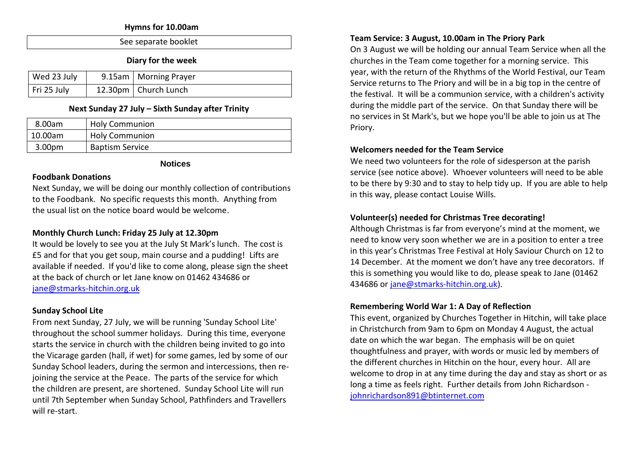#### **Hymns for 10.00am**

| See separate booklet |
|----------------------|
|                      |

**Diary for the week**

| Wed 23 July | 9.15am   Morning Prayer |
|-------------|-------------------------|
| Fri 25 July | 12.30pm   Church Lunch  |

#### **Next Sunday 27 July – Sixth Sunday after Trinity**

| 8.00am             | <b>Holy Communion</b>  |
|--------------------|------------------------|
| 10.00am            | <b>Holy Communion</b>  |
| 3.00 <sub>pm</sub> | <b>Baptism Service</b> |

#### **Notices**

#### **Foodbank Donations**

Next Sunday, we will be doing our monthly collection of contributions to the Foodbank. No specific requests this month. Anything from the usual list on the notice board would be welcome.

# **Monthly Church Lunch: Friday 25 July at 12.30pm**

It would be lovely to see you at the July St Mark's lunch. The cost is £5 and for that you get soup, main course and a pudding! Lifts are available if needed. If you'd like to come along, please sign the sheet at the back of church or let Jane know on 01462 434686 or [jane@stmarks-hitchin.org.uk](mailto:jane@stmarks-hitchin.org.uk)

# **Sunday School Lite**

From next Sunday, 27 July, we will be running 'Sunday School Lite' throughout the school summer holidays. During this time, everyone starts the service in church with the children being invited to go into the Vicarage garden (hall, if wet) for some games, led by some of our Sunday School leaders, during the sermon and intercessions, then rejoining the service at the Peace. The parts of the service for which the children are present, are shortened. Sunday School Lite will run until 7th September when Sunday School, Pathfinders and Travellers will re-start.

#### **Team Service: 3 August, 10.00am in The Priory Park**

On 3 August we will be holding our annual Team Service when all the churches in the Team come together for a morning service. This year, with the return of the Rhythms of the World Festival, our Team Service returns to The Priory and will be in a big top in the centre of the festival. It will be a communion service, with a children's activity during the middle part of the service. On that Sunday there will be no services in St Mark's, but we hope you'll be able to join us at The Priory.

#### **Welcomers needed for the Team Service**

We need two volunteers for the role of sidesperson at the parish service (see notice above). Whoever volunteers will need to be able to be there by 9:30 and to stay to help tidy up. If you are able to help in this way, please contact Louise Wills.

# **Volunteer(s) needed for Christmas Tree decorating!**

Although Christmas is far from everyone's mind at the moment, we need to know very soon whether we are in a position to enter a tree in this year's Christmas Tree Festival at Holy Saviour Church on 12 to 14 December. At the moment we don't have any tree decorators. If this is something you would like to do, please speak to Jane (01462 434686 or [jane@stmarks-hitchin.org.uk\)](mailto:jane@stmarks-hitchin.org.uk).

#### **Remembering World War 1: A Day of Reflection**

This event, organized by Churches Together in Hitchin, will take place in Christchurch from 9am to 6pm on Monday 4 August, the actual date on which the war began. The emphasis will be on quiet thoughtfulness and prayer, with words or music led by members of the different churches in Hitchin on the hour, every hour. All are welcome to drop in at any time during the day and stay as short or as long a time as feels right. Further details from John Richardson [johnrichardson891@btinternet.com](file:///C:/Users/Andrew/Documents/Church/Communications/Notice%20sheet%20proof%20read/2014/June/johnrichardson891@btinternet.com)